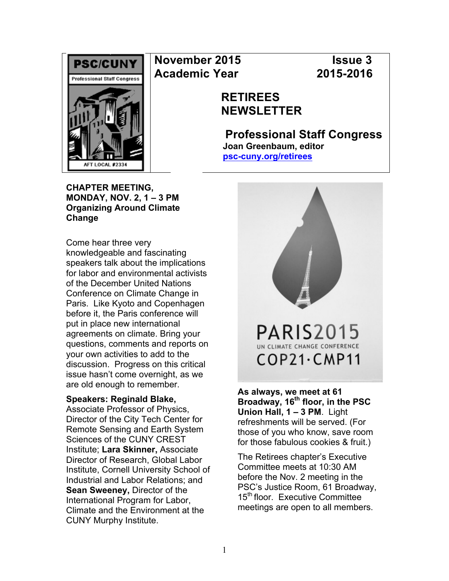

# **November 2015 Issue 3 Academic Year 2015-2016**

# **RETIREES NEWSLETTER**

**Professional Staff Congress Joan Greenbaum, editor psc-cuny.org/retirees**

**CHAPTER MEETING, MONDAY, NOV. 2, 1 – 3 PM Organizing Around Climate Change** 

Come hear three very knowledgeable and fascinating speakers talk about the implications for labor and environmental activists of the December United Nations Conference on Climate Change in Paris. Like Kyoto and Copenhagen before it, the Paris conference will put in place new international agreements on climate. Bring your questions, comments and reports on your own activities to add to the discussion. Progress on this critical issue hasn't come overnight, as we are old enough to remember.

#### **Speakers: Reginald Blake,**

Associate Professor of Physics, Director of the City Tech Center for Remote Sensing and Earth System Sciences of the CUNY CREST Institute; **Lara Skinner,** Associate Director of Research, Global Labor Institute, Cornell University School of Industrial and Labor Relations; and **Sean Sweeney,** Director of the International Program for Labor, Climate and the Environment at the CUNY Murphy Institute.



**As always, we meet at 61 Broadway, 16th floor, in the PSC Union Hall, 1 – 3 PM**. Light refreshments will be served. (For those of you who know, save room for those fabulous cookies & fruit.)

The Retirees chapter's Executive Committee meets at 10:30 AM before the Nov. 2 meeting in the PSC's Justice Room, 61 Broadway, 15<sup>th</sup> floor. Executive Committee meetings are open to all members.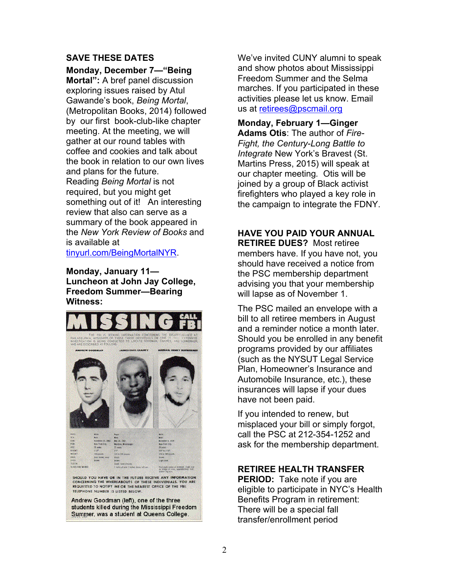#### **SAVE THESE DATES**

**Monday, December 7—"Being Mortal":** A bref panel discussion exploring issues raised by Atul Gawande's book, *Being Mortal*, (Metropolitan Books, 2014) followed by our first book-club-like chapter meeting. At the meeting, we will gather at our round tables with coffee and cookies and talk about the book in relation to our own lives and plans for the future. Reading *Being Mortal* is not required, but you might get something out of it! An interesting review that also can serve as a summary of the book appeared in the *New York Review of Books* and is available at

tinyurl.com/BeingMortalNYR.

**Monday, January 11— Luncheon at John Jay College, Freedom Summer—Bearing Witness:** 



Summer, was a student at Queens College.

We've invited CUNY alumni to speak and show photos about Mississippi Freedom Summer and the Selma marches. If you participated in these activities please let us know. Email us at retirees@pscmail.org

**Monday, February 1—Ginger Adams Otis**: The author of *Fire-Fight, the Century-Long Battle to Integrate* New York's Bravest (St. Martins Press, 2015) will speak at our chapter meeting*.* Otis will be joined by a group of Black activist firefighters who played a key role in the campaign to integrate the FDNY.

## **HAVE YOU PAID YOUR ANNUAL**

**RETIREE DUES?** Most retiree members have. If you have not, you should have received a notice from the PSC membership department advising you that your membership will lapse as of November 1.

The PSC mailed an envelope with a bill to all retiree members in August and a reminder notice a month later. Should you be enrolled in any benefit programs provided by our affiliates (such as the NYSUT Legal Service Plan, Homeowner's Insurance and Automobile Insurance, etc.), these insurances will lapse if your dues have not been paid.

If you intended to renew, but misplaced your bill or simply forgot, call the PSC at 212-354-1252 and ask for the membership department.

#### **RETIREE HEALTH TRANSFER**

**PERIOD:** Take note if you are eligible to participate in NYC's Health Benefits Program in retirement: There will be a special fall transfer/enrollment period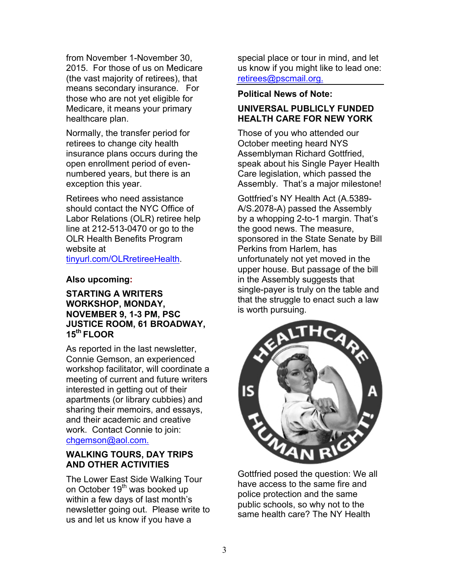from November 1-November 30, 2015. For those of us on Medicare (the vast majority of retirees), that means secondary insurance. For those who are not yet eligible for Medicare, it means your primary healthcare plan.

Normally, the transfer period for retirees to change city health insurance plans occurs during the open enrollment period of evennumbered years, but there is an exception this year.

Retirees who need assistance should contact the NYC Office of Labor Relations (OLR) retiree help line at 212-513-0470 or go to the OLR Health Benefits Program website at tinyurl.com/OLRretireeHealth.

#### **Also upcoming:**

#### **STARTING A WRITERS WORKSHOP, MONDAY, NOVEMBER 9, 1-3 PM, PSC JUSTICE ROOM, 61 BROADWAY, 15th FLOOR**

As reported in the last newsletter, Connie Gemson, an experienced workshop facilitator, will coordinate a meeting of current and future writers interested in getting out of their apartments (or library cubbies) and sharing their memoirs, and essays, and their academic and creative work. Contact Connie to join: chgemson@aol.com.

#### **WALKING TOURS, DAY TRIPS AND OTHER ACTIVITIES**

The Lower East Side Walking Tour on October 19<sup>th</sup> was booked up within a few days of last month's newsletter going out. Please write to us and let us know if you have a

special place or tour in mind, and let us know if you might like to lead one: retirees@pscmail.org.

#### **Political News of Note:**

## **UNIVERSAL PUBLICLY FUNDED HEALTH CARE FOR NEW YORK**

Those of you who attended our October meeting heard NYS Assemblyman Richard Gottfried, speak about his Single Payer Health Care legislation, which passed the Assembly. That's a major milestone!

Gottfried's NY Health Act (A.5389- A/S.2078-A) passed the Assembly by a whopping 2-to-1 margin. That's the good news. The measure, sponsored in the State Senate by Bill Perkins from Harlem, has unfortunately not yet moved in the upper house. But passage of the bill in the Assembly suggests that single-payer is truly on the table and that the struggle to enact such a law is worth pursuing.



Gottfried posed the question: We all have access to the same fire and police protection and the same public schools, so why not to the same health care? The NY Health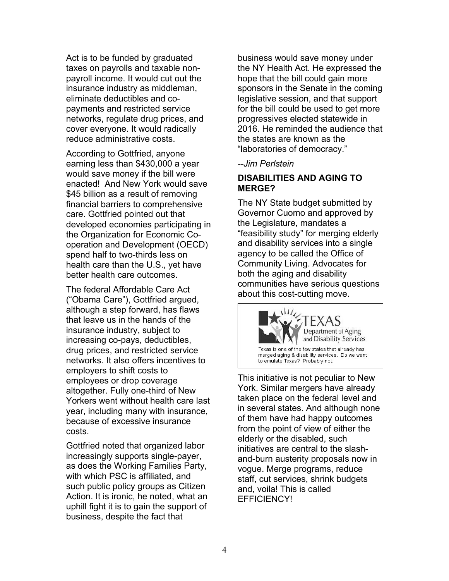Act is to be funded by graduated taxes on payrolls and taxable nonpayroll income. It would cut out the insurance industry as middleman, eliminate deductibles and copayments and restricted service networks, regulate drug prices, and cover everyone. It would radically reduce administrative costs.

According to Gottfried, anyone earning less than \$430,000 a year would save money if the bill were enacted! And New York would save \$45 billion as a result of removing financial barriers to comprehensive care. Gottfried pointed out that developed economies participating in the Organization for Economic Cooperation and Development (OECD) spend half to two-thirds less on health care than the U.S., yet have better health care outcomes.

The federal Affordable Care Act ("Obama Care"), Gottfried argued, although a step forward, has flaws that leave us in the hands of the insurance industry, subject to increasing co-pays, deductibles, drug prices, and restricted service networks. It also offers incentives to employers to shift costs to employees or drop coverage altogether. Fully one-third of New Yorkers went without health care last year, including many with insurance, because of excessive insurance costs.

Gottfried noted that organized labor increasingly supports single-payer, as does the Working Families Party, with which PSC is affiliated, and such public policy groups as Citizen Action. It is ironic, he noted, what an uphill fight it is to gain the support of business, despite the fact that

business would save money under the NY Health Act. He expressed the hope that the bill could gain more sponsors in the Senate in the coming legislative session, and that support for the bill could be used to get more progressives elected statewide in 2016. He reminded the audience that the states are known as the "laboratories of democracy."

*--Jim Perlstein*

#### **DISABILITIES AND AGING TO MERGE?**

The NY State budget submitted by Governor Cuomo and approved by the Legislature, mandates a "feasibility study" for merging elderly and disability services into a single agency to be called the Office of Community Living. Advocates for both the aging and disability communities have serious questions about this cost-cutting move.



This initiative is not peculiar to New York. Similar mergers have already taken place on the federal level and in several states. And although none of them have had happy outcomes from the point of view of either the elderly or the disabled, such initiatives are central to the slashand-burn austerity proposals now in vogue. Merge programs, reduce staff, cut services, shrink budgets and, voila! This is called EFFICIENCY!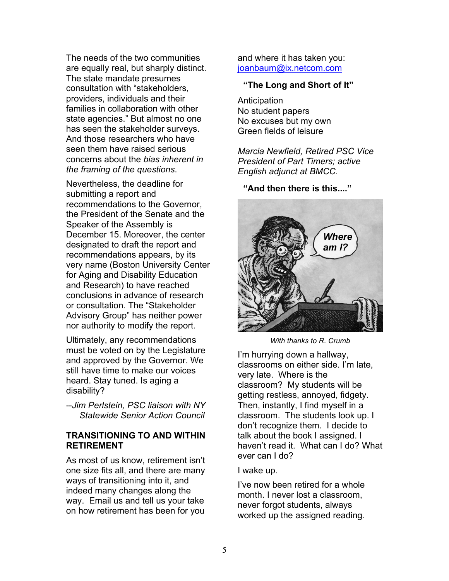The needs of the two communities are equally real, but sharply distinct. The state mandate presumes consultation with "stakeholders, providers, individuals and their families in collaboration with other state agencies." But almost no one has seen the stakeholder surveys. And those researchers who have seen them have raised serious concerns about the *bias inherent in the framing of the questions*.

Nevertheless, the deadline for submitting a report and recommendations to the Governor, the President of the Senate and the Speaker of the Assembly is December 15. Moreover, the center designated to draft the report and recommendations appears, by its very name (Boston University Center for Aging and Disability Education and Research) to have reached conclusions in advance of research or consultation. The "Stakeholder Advisory Group" has neither power nor authority to modify the report.

Ultimately, any recommendations must be voted on by the Legislature and approved by the Governor. We still have time to make our voices heard. Stay tuned. Is aging a disability?

--*Jim Perlstein, PSC liaison with NY Statewide Senior Action Council*

#### **TRANSITIONING TO AND WITHIN RETIREMENT**

As most of us know, retirement isn't one size fits all, and there are many ways of transitioning into it, and indeed many changes along the way. Email us and tell us your take on how retirement has been for you

and where it has taken you: ioanbaum@ix.netcom.com

#### **"The Long and Short of It"**

**Anticipation** No student papers No excuses but my own Green fields of leisure

*Marcia Newfield, Retired PSC Vice President of Part Timers; active English adjunct at BMCC.*

**"And then there is this...."**



*With thanks to R. Crumb*

I'm hurrying down a hallway, classrooms on either side. I'm late, very late. Where is the classroom? My students will be getting restless, annoyed, fidgety. Then, instantly, I find myself in a classroom. The students look up. I don't recognize them. I decide to talk about the book I assigned. I haven't read it. What can I do? What ever can I do?

#### I wake up.

I've now been retired for a whole month. I never lost a classroom, never forgot students, always worked up the assigned reading.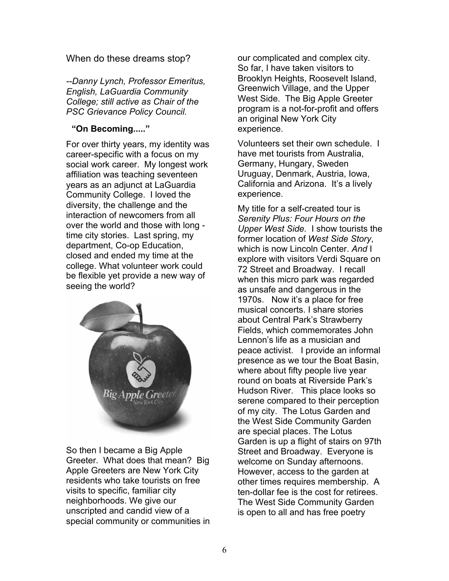When do these dreams stop?

*--Danny Lynch, Professor Emeritus, English, LaGuardia Community College; still active as Chair of the PSC Grievance Policy Council.*

### **"On Becoming....."**

For over thirty years, my identity was career-specific with a focus on my social work career. My longest work affiliation was teaching seventeen years as an adjunct at LaGuardia Community College. I loved the diversity, the challenge and the interaction of newcomers from all over the world and those with long time city stories. Last spring, my department, Co-op Education, closed and ended my time at the college. What volunteer work could be flexible yet provide a new way of seeing the world?



So then I became a Big Apple Greeter. What does that mean? Big Apple Greeters are New York City residents who take tourists on free visits to specific, familiar city neighborhoods. We give our unscripted and candid view of a special community or communities in our complicated and complex city. So far, I have taken visitors to Brooklyn Heights, Roosevelt Island, Greenwich Village, and the Upper West Side. The Big Apple Greeter program is a not-for-profit and offers an original New York City experience.

Volunteers set their own schedule. I have met tourists from Australia, Germany, Hungary, Sweden Uruguay, Denmark, Austria, Iowa, California and Arizona. It's a lively experience.

My title for a self-created tour is *Serenity Plus: Four Hours on the Upper West Side.* I show tourists the former location of *West Side Story*, which is now Lincoln Center. *And* I explore with visitors Verdi Square on 72 Street and Broadway. I recall when this micro park was regarded as unsafe and dangerous in the 1970s. Now it's a place for free musical concerts. I share stories about Central Park's Strawberry Fields, which commemorates John Lennon's life as a musician and peace activist. I provide an informal presence as we tour the Boat Basin, where about fifty people live year round on boats at Riverside Park's Hudson River. This place looks so serene compared to their perception of my city. The Lotus Garden and the West Side Community Garden are special places. The Lotus Garden is up a flight of stairs on 97th Street and Broadway. Everyone is welcome on Sunday afternoons. However, access to the garden at other times requires membership. A ten-dollar fee is the cost for retirees. The West Side Community Garden is open to all and has free poetry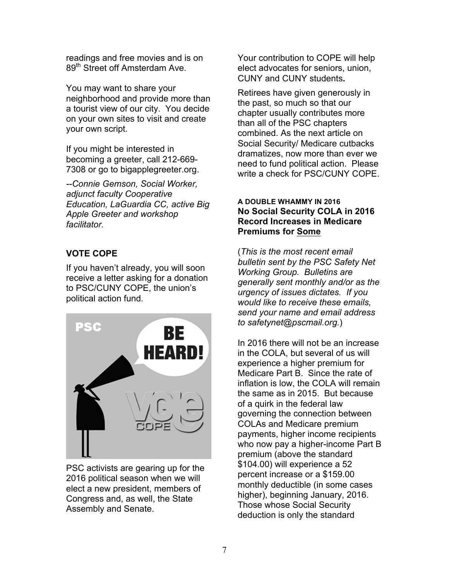readings and free movies and is on 89<sup>th</sup> Street off Amsterdam Ave.

You may want to share your neighborhood and provide more than a tourist view of our city. You decide on your own sites to visit and create your own script.

If you might be interested in becoming a greeter, call 212-669- 7308 or go to bigapplegreeter.org.

*--Connie Gemson, Social Worker, adjunct faculty Cooperative Education, LaGuardia CC, active Big Apple Greeter and workshop facilitator.*

# **VOTE COPE**

If you haven't already, you will soon receive a letter asking for a donation to PSC/CUNY COPE, the union's political action fund.



PSC activists are gearing up for the 2016 political season when we will elect a new president, members of Congress and, as well, the State Assembly and Senate.

Your contribution to COPE will help elect advocates for seniors, union, CUNY and CUNY students**.**

Retirees have given generously in the past, so much so that our chapter usually contributes more than all of the PSC chapters combined. As the next article on Social Security/ Medicare cutbacks dramatizes, now more than ever we need to fund political action. Please write a check for PSC/CUNY COPE.

#### **A DOUBLE WHAMMY IN 2016 No Social Security COLA in 2016 Record Increases in Medicare Premiums for Some**

(*This is the most recent email bulletin sent by the PSC Safety Net Working Group. Bulletins are generally sent monthly and/or as the urgency of issues dictates. If you would like to receive these emails, send your name and email address to safetynet@pscmail.org.*)

In 2016 there will not be an increase in the COLA, but several of us will experience a higher premium for Medicare Part B. Since the rate of inflation is low, the COLA will remain the same as in 2015. But because of a quirk in the federal law governing the connection between COLAs and Medicare premium payments, higher income recipients who now pay a higher-income Part B premium (above the standard \$104.00) will experience a 52 percent increase or a \$159.00 monthly deductible (in some cases higher), beginning January, 2016. Those whose Social Security deduction is only the standard